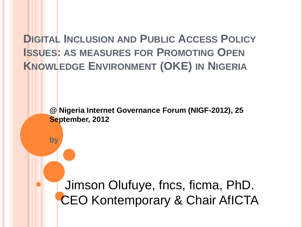**DIGITAL INCLUSION AND PUBLIC ACCESS POLICY ISSUES: AS MEASURES FOR PROMOTING OPEN KNOWLEDGE ENVIRONMENT (OKE) IN NIGERIA**

> **@ Nigeria Internet Governance Forum (NIGF-2012), 25 September, 2012**

**by**

Jimson Olufuye, fncs, ficma, PhD. CEO Kontemporary & Chair AfICTA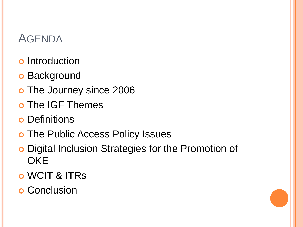## **AGENDA**

- **o** Introduction
- **o** Background
- o The Journey since 2006
- o The IGF Themes
- **o** Definitions
- o The Public Access Policy Issues
- Digital Inclusion Strategies for the Promotion of **OKE**
- WCIT & ITRs
- **o** Conclusion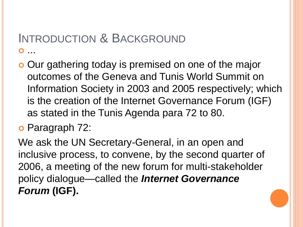#### INTRODUCTION & BACKGROUND  $\overline{\mathbf{O}}$

- o Our gathering today is premised on one of the major outcomes of the Geneva and Tunis World Summit on Information Society in 2003 and 2005 respectively; which is the creation of the Internet Governance Forum (IGF) as stated in the Tunis Agenda para 72 to 80.
- Paragraph 72:

We ask the UN Secretary-General, in an open and inclusive process, to convene, by the second quarter of 2006, a meeting of the new forum for multi-stakeholder policy dialogue—called the *Internet Governance Forum* **(IGF).**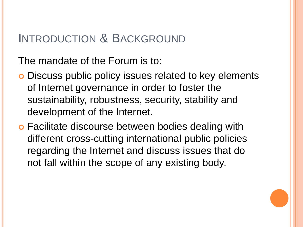The mandate of the Forum is to:

- Discuss public policy issues related to key elements of Internet governance in order to foster the sustainability, robustness, security, stability and development of the Internet.
- **o** Facilitate discourse between bodies dealing with different cross-cutting international public policies regarding the Internet and discuss issues that do not fall within the scope of any existing body.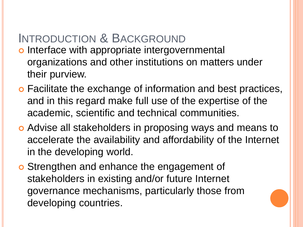- o Interface with appropriate intergovernmental organizations and other institutions on matters under their purview.
- Facilitate the exchange of information and best practices, and in this regard make full use of the expertise of the academic, scientific and technical communities.
- Advise all stakeholders in proposing ways and means to accelerate the availability and affordability of the Internet in the developing world.
- Strengthen and enhance the engagement of stakeholders in existing and/or future Internet governance mechanisms, particularly those from developing countries.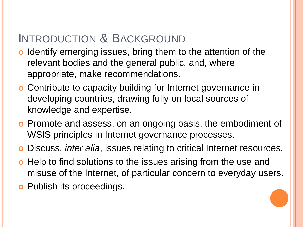- o Identify emerging issues, bring them to the attention of the relevant bodies and the general public, and, where appropriate, make recommendations.
- Contribute to capacity building for Internet governance in developing countries, drawing fully on local sources of knowledge and expertise.
- o Promote and assess, on an ongoing basis, the embodiment of WSIS principles in Internet governance processes.
- Discuss, *inter alia*, issues relating to critical Internet resources.
- **o** Help to find solutions to the issues arising from the use and misuse of the Internet, of particular concern to everyday users.
- **o** Publish its proceedings.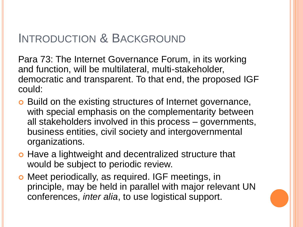Para 73: The Internet Governance Forum, in its working and function, will be multilateral, multi-stakeholder, democratic and transparent. To that end, the proposed IGF could:

- **o** Build on the existing structures of Internet governance, with special emphasis on the complementarity between all stakeholders involved in this process – governments, business entities, civil society and intergovernmental organizations.
- o Have a lightweight and decentralized structure that would be subject to periodic review.
- Meet periodically, as required. IGF meetings, in principle, may be held in parallel with major relevant UN conferences, *inter alia*, to use logistical support.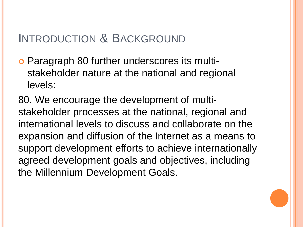Paragraph 80 further underscores its multistakeholder nature at the national and regional levels:

80. We encourage the development of multistakeholder processes at the national, regional and international levels to discuss and collaborate on the expansion and diffusion of the Internet as a means to support development efforts to achieve internationally agreed development goals and objectives, including the Millennium Development Goals.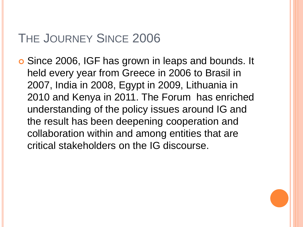Since 2006, IGF has grown in leaps and bounds. It held every year from Greece in 2006 to Brasil in 2007, India in 2008, Egypt in 2009, Lithuania in 2010 and Kenya in 2011. The Forum has enriched understanding of the policy issues around IG and the result has been deepening cooperation and collaboration within and among entities that are critical stakeholders on the IG discourse.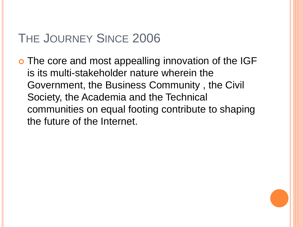o The core and most appealling innovation of the IGF is its multi-stakeholder nature wherein the Government, the Business Community , the Civil Society, the Academia and the Technical communities on equal footing contribute to shaping the future of the Internet.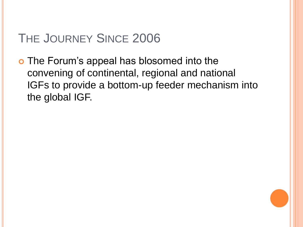The Forum's appeal has blosomed into the convening of continental, regional and national IGFs to provide a bottom-up feeder mechanism into the global IGF.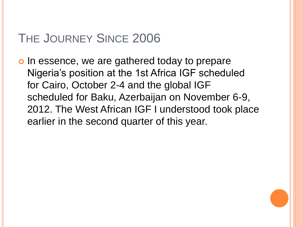o In essence, we are gathered today to prepare Nigeria's position at the 1st Africa IGF scheduled for Cairo, October 2-4 and the global IGF scheduled for Baku, Azerbaijan on November 6-9, 2012. The West African IGF I understood took place earlier in the second quarter of this year.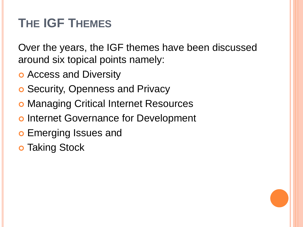# **THE IGF THEMES**

Over the years, the IGF themes have been discussed around six topical points namely:

- **o** Access and Diversity
- **o** Security, Openness and Privacy
- **o Managing Critical Internet Resources**
- o Internet Governance for Development
- **o** Emerging Issues and
- **o** Taking Stock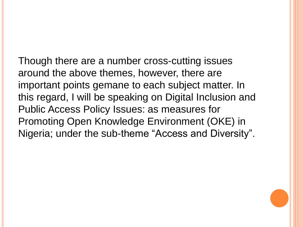Though there are a number cross-cutting issues around the above themes, however, there are important points gemane to each subject matter. In this regard, I will be speaking on Digital Inclusion and Public Access Policy Issues: as measures for Promoting Open Knowledge Environment (OKE) in Nigeria; under the sub-theme "Access and Diversity".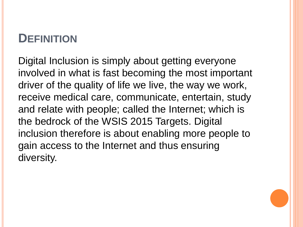## **DEFINITION**

Digital Inclusion is simply about getting everyone involved in what is fast becoming the most important driver of the quality of life we live, the way we work, receive medical care, communicate, entertain, study and relate with people; called the Internet; which is the bedrock of the WSIS 2015 Targets. Digital inclusion therefore is about enabling more people to gain access to the Internet and thus ensuring diversity.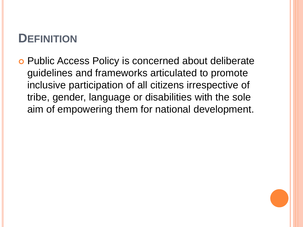### **DEFINITION**

 Public Access Policy is concerned about deliberate guidelines and frameworks articulated to promote inclusive participation of all citizens irrespective of tribe, gender, language or disabilities with the sole aim of empowering them for national development.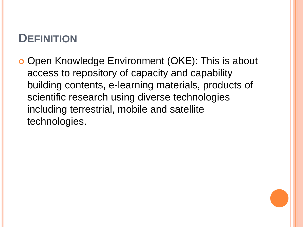## **DEFINITION**

o Open Knowledge Environment (OKE): This is about access to repository of capacity and capability building contents, e-learning materials, products of scientific research using diverse technologies including terrestrial, mobile and satellite technologies.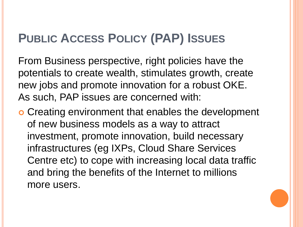From Business perspective, right policies have the potentials to create wealth, stimulates growth, create new jobs and promote innovation for a robust OKE. As such, PAP issues are concerned with:

 Creating environment that enables the development of new business models as a way to attract investment, promote innovation, build necessary infrastructures (eg IXPs, Cloud Share Services Centre etc) to cope with increasing local data traffic and bring the benefits of the Internet to millions more users.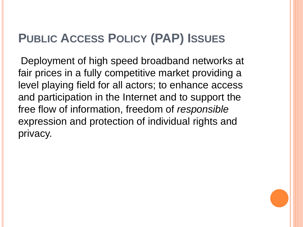Deployment of high speed broadband networks at fair prices in a fully competitive market providing a level playing field for all actors; to enhance access and participation in the Internet and to support the free flow of information, freedom of *responsible* expression and protection of individual rights and privacy.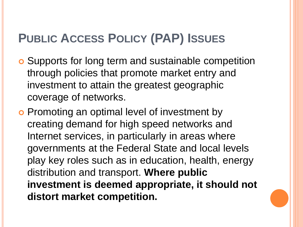- Supports for long term and sustainable competition through policies that promote market entry and investment to attain the greatest geographic coverage of networks.
- o Promoting an optimal level of investment by creating demand for high speed networks and Internet services, in particularly in areas where governments at the Federal State and local levels play key roles such as in education, health, energy distribution and transport. **Where public investment is deemed appropriate, it should not distort market competition.**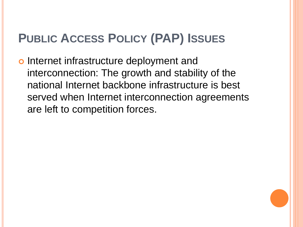o Internet infrastructure deployment and interconnection: The growth and stability of the national Internet backbone infrastructure is best served when Internet interconnection agreements are left to competition forces.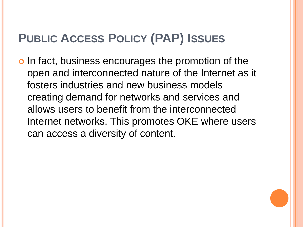In fact, business encourages the promotion of the open and interconnected nature of the Internet as it fosters industries and new business models creating demand for networks and services and allows users to benefit from the interconnected Internet networks. This promotes OKE where users can access a diversity of content.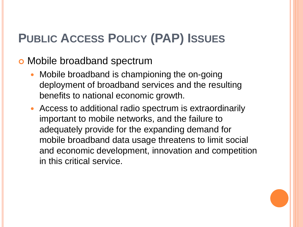#### o Mobile broadband spectrum

- Mobile broadband is championing the on-going deployment of broadband services and the resulting benefits to national economic growth.
- Access to additional radio spectrum is extraordinarily important to mobile networks, and the failure to adequately provide for the expanding demand for mobile broadband data usage threatens to limit social and economic development, innovation and competition in this critical service.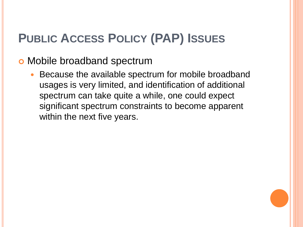#### **o** Mobile broadband spectrum

• Because the available spectrum for mobile broadband usages is very limited, and identification of additional spectrum can take quite a while, one could expect significant spectrum constraints to become apparent within the next five years.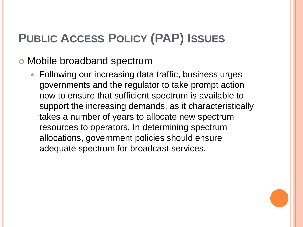#### o Mobile broadband spectrum

 Following our increasing data traffic, business urges governments and the regulator to take prompt action now to ensure that sufficient spectrum is available to support the increasing demands, as it characteristically takes a number of years to allocate new spectrum resources to operators. In determining spectrum allocations, government policies should ensure adequate spectrum for broadcast services.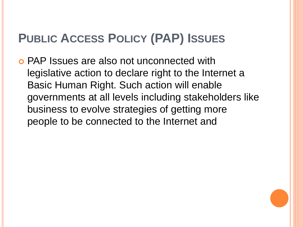PAP Issues are also not unconnected with legislative action to declare right to the Internet a Basic Human Right. Such action will enable governments at all levels including stakeholders like business to evolve strategies of getting more people to be connected to the Internet and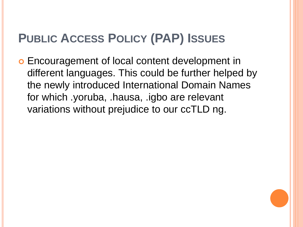Encouragement of local content development in different languages. This could be further helped by the newly introduced International Domain Names for which .yoruba, .hausa, .igbo are relevant variations without prejudice to our ccTLD ng.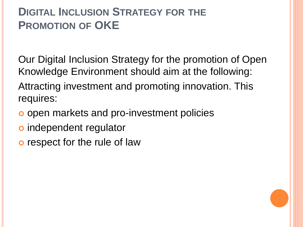Our Digital Inclusion Strategy for the promotion of Open Knowledge Environment should aim at the following: Attracting investment and promoting innovation. This requires:

- o open markets and pro-investment policies
- independent regulator
- o respect for the rule of law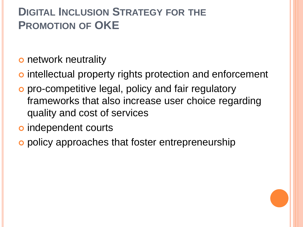**o** network neutrality

- o intellectual property rights protection and enforcement
- pro-competitive legal, policy and fair regulatory frameworks that also increase user choice regarding quality and cost of services
- o independent courts
- o policy approaches that foster entrepreneurship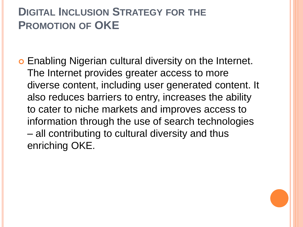Enabling Nigerian cultural diversity on the Internet. The Internet provides greater access to more diverse content, including user generated content. It also reduces barriers to entry, increases the ability to cater to niche markets and improves access to information through the use of search technologies – all contributing to cultural diversity and thus enriching OKE.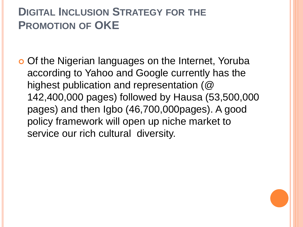o Of the Nigerian languages on the Internet, Yoruba according to Yahoo and Google currently has the highest publication and representation (@ 142,400,000 pages) followed by Hausa (53,500,000 pages) and then Igbo (46,700,000pages). A good policy framework will open up niche market to service our rich cultural diversity.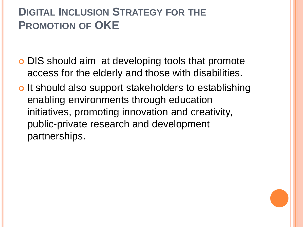- **o** DIS should aim at developing tools that promote access for the elderly and those with disabilities.
- o It should also support stakeholders to establishing enabling environments through education initiatives, promoting innovation and creativity, public-private research and development partnerships.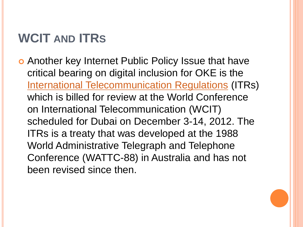# **WCIT AND ITRS**

 Another key Internet Public Policy Issue that have critical bearing on digital inclusion for OKE is the [International Telecommunication Regulations](http://www.itu.int/oth/T3F01000001) (ITRs) which is billed for review at the World Conference on International Telecommunication (WCIT) scheduled for Dubai on December 3-14, 2012. The ITRs is a treaty that was developed at the 1988 World Administrative Telegraph and Telephone Conference (WATTC-88) in Australia and has not been revised since then.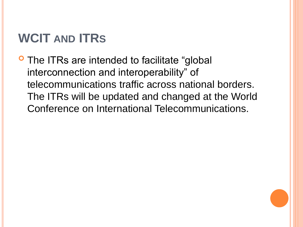# **WCIT AND ITRS**

**O** The ITRs are intended to facilitate "global" interconnection and interoperability" of telecommunications traffic across national borders. The ITRs will be updated and changed at the World Conference on International Telecommunications.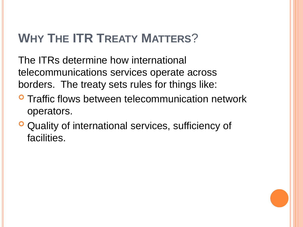# **WHY THE ITR TREATY MATTERS**?

The ITRs determine how international telecommunications services operate across borders. The treaty sets rules for things like:

- **O** Traffic flows between telecommunication network operators.
- **O** Quality of international services, sufficiency of facilities.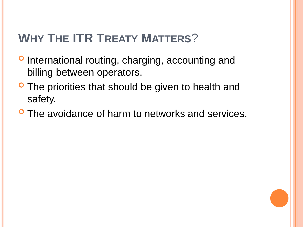# **WHY THE ITR TREATY MATTERS**?

- **P** International routing, charging, accounting and billing between operators.
- **The priorities that should be given to health and** safety.
- **P** The avoidance of harm to networks and services.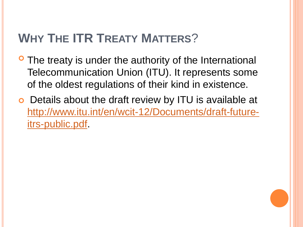# **WHY THE ITR TREATY MATTERS**?

- **The treaty is under the authority of the International** Telecommunication Union (ITU). It represents some of the oldest regulations of their kind in existence.
- Details about the draft review by ITU is available at [http://www.itu.int/en/wcit-12/Documents/draft-future](http://www.itu.int/en/wcit-12/Documents/draft-future-itrs-public.pdf)[itrs-public.pdf.](http://www.itu.int/en/wcit-12/Documents/draft-future-itrs-public.pdf)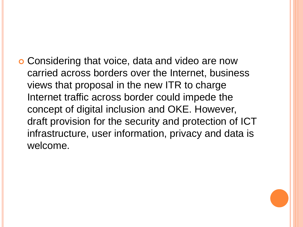Considering that voice, data and video are now carried across borders over the Internet, business views that proposal in the new ITR to charge Internet traffic across border could impede the concept of digital inclusion and OKE. However, draft provision for the security and protection of ICT infrastructure, user information, privacy and data is welcome.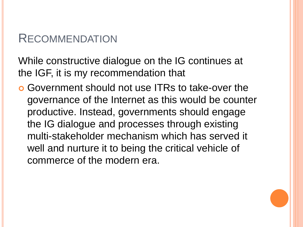#### RECOMMENDATION

While constructive dialogue on the IG continues at the IGF, it is my recommendation that

 Government should not use ITRs to take-over the governance of the Internet as this would be counter productive. Instead, governments should engage the IG dialogue and processes through existing multi-stakeholder mechanism which has served it well and nurture it to being the critical vehicle of commerce of the modern era.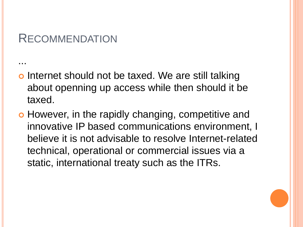#### **RECOMMENDATION**

...

- o Internet should not be taxed. We are still talking about openning up access while then should it be taxed.
- o However, in the rapidly changing, competitive and innovative IP based communications environment, I believe it is not advisable to resolve Internet-related technical, operational or commercial issues via a static, international treaty such as the ITRs.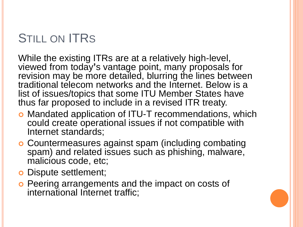# STILL ON **ITRS**

While the existing ITRs are at a relatively high-level, viewed from today**'**s vantage point, many proposals for revision may be more detailed, blurring the lines between traditional telecom networks and the Internet. Below is a list of issues/topics that some ITU Member States have thus far proposed to include in a revised ITR treaty.

- Mandated application of ITU-T recommendations, which could create operational issues if not compatible with Internet standards;
- Countermeasures against spam (including combating spam) and related issues such as phishing, malware, malicious code, etc;
- **o** Dispute settlement;
- **o** Peering arrangements and the impact on costs of international Internet traffic;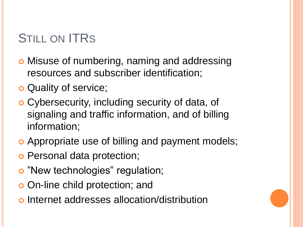# STILL ON **ITRS**

- **o** Misuse of numbering, naming and addressing resources and subscriber identification;
- **o** Quality of service;
- Cybersecurity, including security of data, of signaling and traffic information, and of billing information;
- Appropriate use of billing and payment models;
- o Personal data protection;
- o "New technologies" regulation;
- **o** On-line child protection; and
- Internet addresses allocation/distribution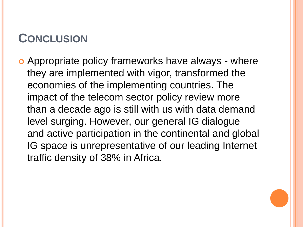## **CONCLUSION**

o Appropriate policy frameworks have always - where they are implemented with vigor, transformed the economies of the implementing countries. The impact of the telecom sector policy review more than a decade ago is still with us with data demand level surging. However, our general IG dialogue and active participation in the continental and global IG space is unrepresentative of our leading Internet traffic density of 38% in Africa.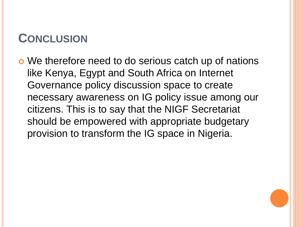## **CONCLUSION**

o We therefore need to do serious catch up of nations like Kenya, Egypt and South Africa on Internet Governance policy discussion space to create necessary awareness on IG policy issue among our citizens. This is to say that the NIGF Secretariat should be empowered with appropriate budgetary provision to transform the IG space in Nigeria.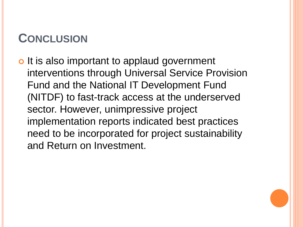## **CONCLUSION**

o It is also important to applaud government interventions through Universal Service Provision Fund and the National IT Development Fund (NITDF) to fast-track access at the underserved sector. However, unimpressive project implementation reports indicated best practices need to be incorporated for project sustainability and Return on Investment.